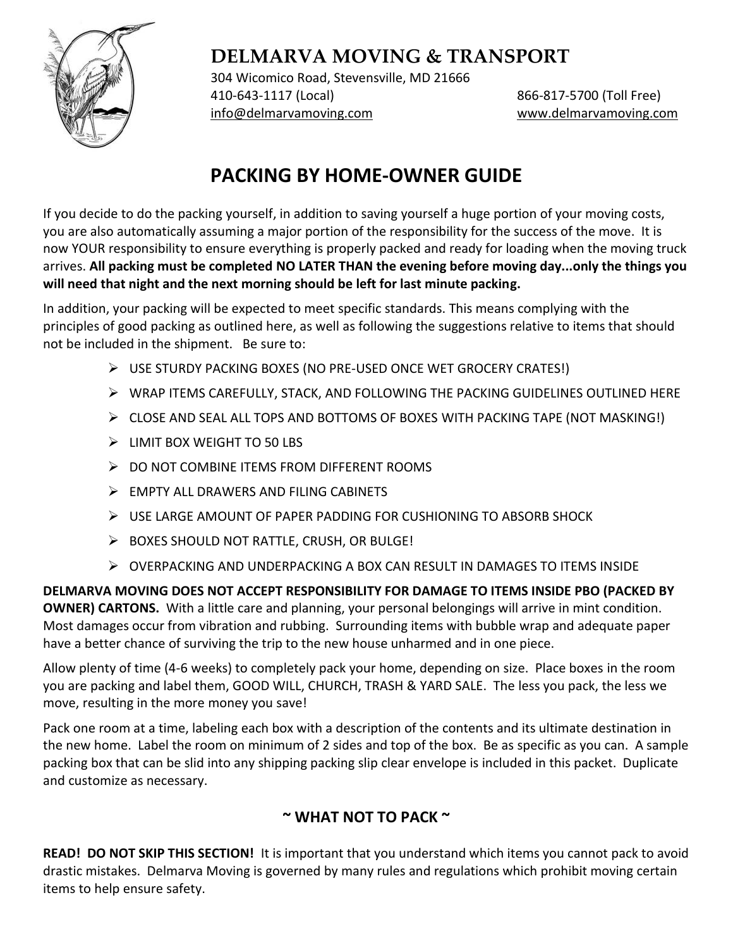

304 Wicomico Road, Stevensville, MD 21666 410-643-1117 (Local) 866-817-5700 (Toll Free) [info@delmarvamoving.com](mailto:info@delmarvamoving.com) [www.delmarvamoving.com](http://www.delmarvamoving.com/)

# **PACKING BY HOME-OWNER GUIDE**

If you decide to do the packing yourself, in addition to saving yourself a huge portion of your moving costs, you are also automatically assuming a major portion of the responsibility for the success of the move. It is now YOUR responsibility to ensure everything is properly packed and ready for loading when the moving truck arrives. **All packing must be completed NO LATER THAN the evening before moving day...only the things you will need that night and the next morning should be left for last minute packing.**

In addition, your packing will be expected to meet specific standards. This means complying with the principles of good packing as outlined here, as well as following the suggestions relative to items that should not be included in the shipment. Be sure to:

- ➢ USE STURDY PACKING BOXES (NO PRE-USED ONCE WET GROCERY CRATES!)
- ➢ WRAP ITEMS CAREFULLY, STACK, AND FOLLOWING THE PACKING GUIDELINES OUTLINED HERE
- $\triangleright$  CLOSE AND SEAL ALL TOPS AND BOTTOMS OF BOXES WITH PACKING TAPE (NOT MASKING!)
- ➢ LIMIT BOX WEIGHT TO 50 LBS
- ➢ DO NOT COMBINE ITEMS FROM DIFFERENT ROOMS
- ➢ EMPTY ALL DRAWERS AND FILING CABINETS
- ➢ USE LARGE AMOUNT OF PAPER PADDING FOR CUSHIONING TO ABSORB SHOCK
- ➢ BOXES SHOULD NOT RATTLE, CRUSH, OR BULGE!
- ➢ OVERPACKING AND UNDERPACKING A BOX CAN RESULT IN DAMAGES TO ITEMS INSIDE

**DELMARVA MOVING DOES NOT ACCEPT RESPONSIBILITY FOR DAMAGE TO ITEMS INSIDE PBO (PACKED BY OWNER) CARTONS.** With a little care and planning, your personal belongings will arrive in mint condition. Most damages occur from vibration and rubbing. Surrounding items with bubble wrap and adequate paper have a better chance of surviving the trip to the new house unharmed and in one piece.

Allow plenty of time (4-6 weeks) to completely pack your home, depending on size. Place boxes in the room you are packing and label them, GOOD WILL, CHURCH, TRASH & YARD SALE. The less you pack, the less we move, resulting in the more money you save!

Pack one room at a time, labeling each box with a description of the contents and its ultimate destination in the new home. Label the room on minimum of 2 sides and top of the box. Be as specific as you can. A sample packing box that can be slid into any shipping packing slip clear envelope is included in this packet. Duplicate and customize as necessary.

# **~ WHAT NOT TO PACK ~**

**READ! DO NOT SKIP THIS SECTION!** It is important that you understand which items you cannot pack to avoid drastic mistakes. Delmarva Moving is governed by many rules and regulations which prohibit moving certain items to help ensure safety.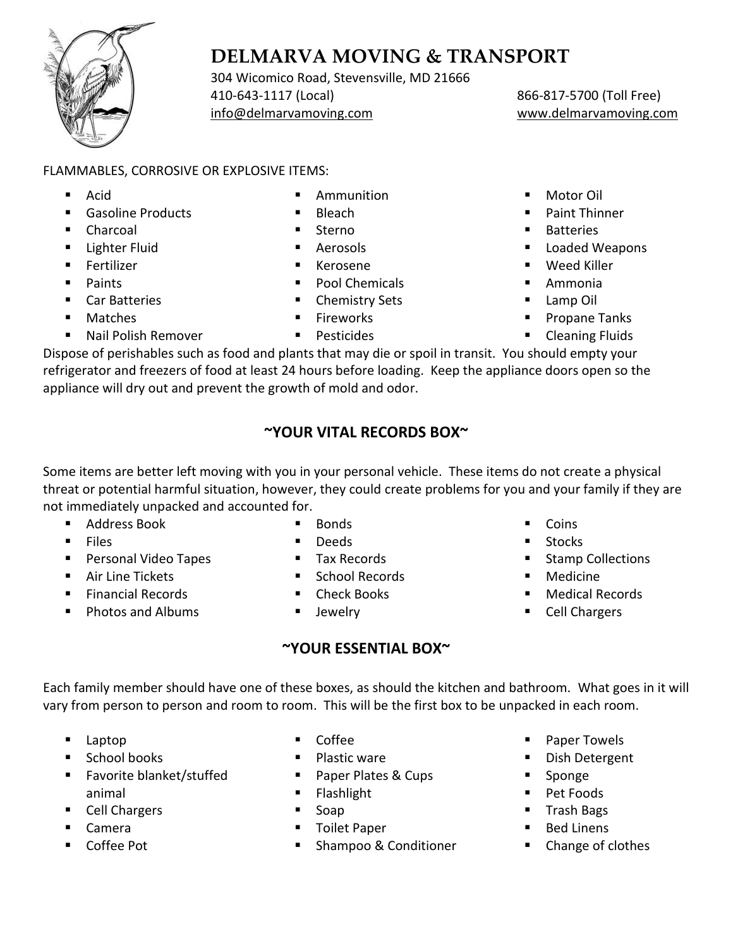

304 Wicomico Road, Stevensville, MD 21666 410-643-1117 (Local) 866-817-5700 (Toll Free) [info@delmarvamoving.com](mailto:info@delmarvamoving.com) [www.delmarvamoving.com](http://www.delmarvamoving.com/)

## FLAMMABLES, CORROSIVE OR EXPLOSIVE ITEMS:

- Acid
- Gasoline Products
- Charcoal
- Lighter Fluid
- Fertilizer
- Paints
- Car Batteries
- **Matches**
- Nail Polish Remover
- **Ammunition**
- **Bleach**
- **Sterno**
- **Aerosols Kerosene**
- Pool Chemicals
- Chemistry Sets
- Fireworks
- Pesticides
- Motor Oil
- Paint Thinner
- Batteries
- Loaded Weapons
- Weed Killer
- Ammonia
- Lamp Oil
- Propane Tanks
- **Cleaning Fluids**

Dispose of perishables such as food and plants that may die or spoil in transit. You should empty your refrigerator and freezers of food at least 24 hours before loading. Keep the appliance doors open so the appliance will dry out and prevent the growth of mold and odor.

# **~YOUR VITAL RECORDS BOX~**

Some items are better left moving with you in your personal vehicle. These items do not create a physical threat or potential harmful situation, however, they could create problems for you and your family if they are not immediately unpacked and accounted for.

- Address Book
- Files
- Personal Video Tapes
- Air Line Tickets
- Financial Records
- Photos and Albums
- **Bonds**
- Deeds
- Tax Records
- School Records
- Check Books
- Jewelry

# **~YOUR ESSENTIAL BOX~**

- Coins
- **Stocks**
- Stamp Collections
- **Medicine**
- Medical Records
- **Cell Chargers**

Each family member should have one of these boxes, as should the kitchen and bathroom. What goes in it will vary from person to person and room to room. This will be the first box to be unpacked in each room.

- Laptop
- School books
- Favorite blanket/stuffed animal
- Cell Chargers
- Camera
- Coffee Pot
- **Coffee**
- Plastic ware
- Paper Plates & Cups
- Flashlight
- Soap
- Toilet Paper
- Shampoo & Conditioner
- Paper Towels
- Dish Detergent
- Sponge
- Pet Foods
- Trash Bags
- Bed Linens
- Change of clothes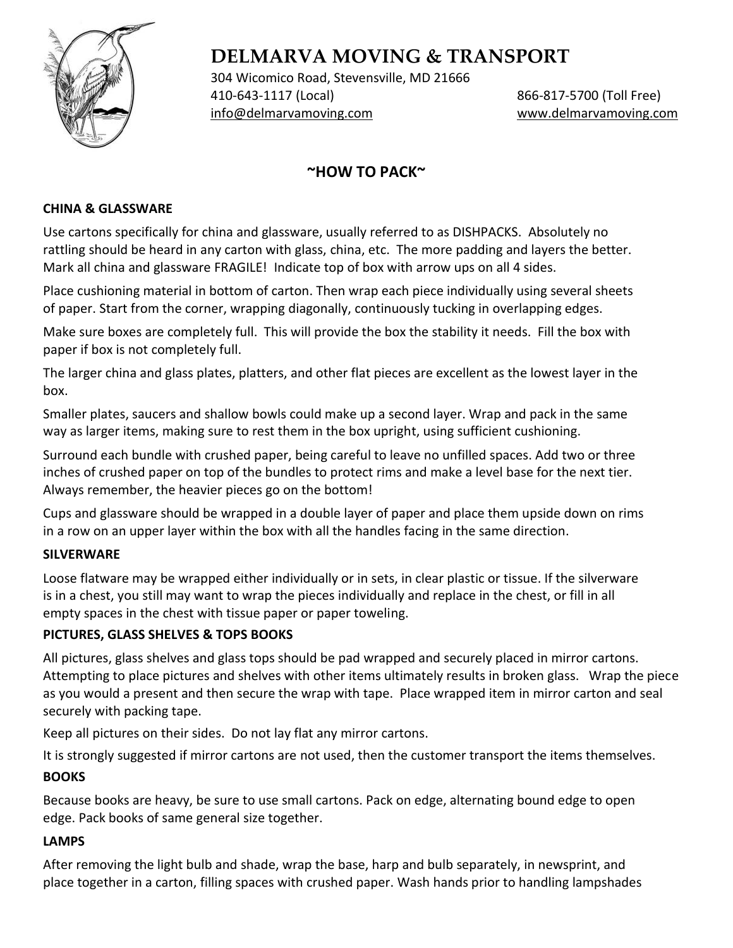

304 Wicomico Road, Stevensville, MD 21666 410-643-1117 (Local) 866-817-5700 (Toll Free) [info@delmarvamoving.com](mailto:info@delmarvamoving.com) [www.delmarvamoving.com](http://www.delmarvamoving.com/)

# **~HOW TO PACK~**

### **CHINA & GLASSWARE**

Use cartons specifically for china and glassware, usually referred to as DISHPACKS. Absolutely no rattling should be heard in any carton with glass, china, etc. The more padding and layers the better. Mark all china and glassware FRAGILE! Indicate top of box with arrow ups on all 4 sides.

Place cushioning material in bottom of carton. Then wrap each piece individually using several sheets of paper. Start from the corner, wrapping diagonally, continuously tucking in overlapping edges.

Make sure boxes are completely full. This will provide the box the stability it needs. Fill the box with paper if box is not completely full.

The larger china and glass plates, platters, and other flat pieces are excellent as the lowest layer in the box.

Smaller plates, saucers and shallow bowls could make up a second layer. Wrap and pack in the same way as larger items, making sure to rest them in the box upright, using sufficient cushioning.

Surround each bundle with crushed paper, being careful to leave no unfilled spaces. Add two or three inches of crushed paper on top of the bundles to protect rims and make a level base for the next tier. Always remember, the heavier pieces go on the bottom!

Cups and glassware should be wrapped in a double layer of paper and place them upside down on rims in a row on an upper layer within the box with all the handles facing in the same direction.

### **SILVERWARE**

Loose flatware may be wrapped either individually or in sets, in clear plastic or tissue. If the silverware is in a chest, you still may want to wrap the pieces individually and replace in the chest, or fill in all empty spaces in the chest with tissue paper or paper toweling.

### **PICTURES, GLASS SHELVES & TOPS BOOKS**

All pictures, glass shelves and glass tops should be pad wrapped and securely placed in mirror cartons. Attempting to place pictures and shelves with other items ultimately results in broken glass. Wrap the piece as you would a present and then secure the wrap with tape. Place wrapped item in mirror carton and seal securely with packing tape.

Keep all pictures on their sides. Do not lay flat any mirror cartons.

It is strongly suggested if mirror cartons are not used, then the customer transport the items themselves.

### **BOOKS**

Because books are heavy, be sure to use small cartons. Pack on edge, alternating bound edge to open edge. Pack books of same general size together.

### **LAMPS**

After removing the light bulb and shade, wrap the base, harp and bulb separately, in newsprint, and place together in a carton, filling spaces with crushed paper. Wash hands prior to handling lampshades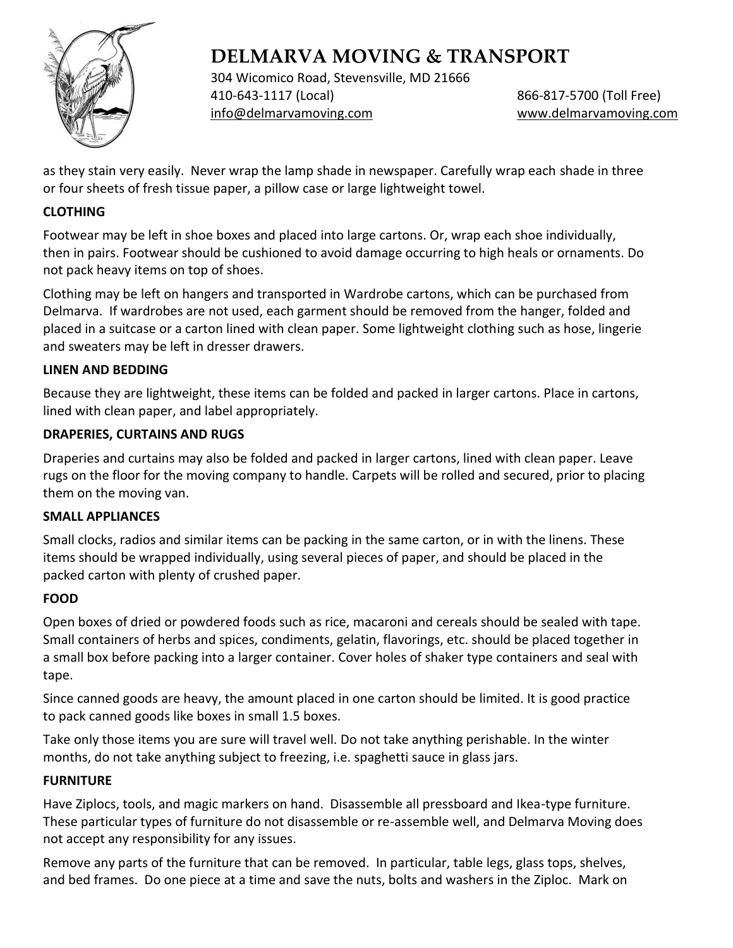

304 Wicomico Road, Stevensville, MD 21666 410-643-1117 (Local) 866-817-5700 (Toll Free) [info@delmarvamoving.com](mailto:info@delmarvamoving.com) [www.delmarvamoving.com](http://www.delmarvamoving.com/)

as they stain very easily. Never wrap the lamp shade in newspaper. Carefully wrap each shade in three or four sheets of fresh tissue paper, a pillow case or large lightweight towel.

#### **CLOTHING**

Footwear may be left in shoe boxes and placed into large cartons. Or, wrap each shoe individually, then in pairs. Footwear should be cushioned to avoid damage occurring to high heals or ornaments. Do not pack heavy items on top of shoes.

Clothing may be left on hangers and transported in Wardrobe cartons, which can be purchased from Delmarva. If wardrobes are not used, each garment should be removed from the hanger, folded and placed in a suitcase or a carton lined with clean paper. Some lightweight clothing such as hose, lingerie and sweaters may be left in dresser drawers.

#### **LINEN AND BEDDING**

Because they are lightweight, these items can be folded and packed in larger cartons. Place in cartons, lined with clean paper, and label appropriately.

#### **DRAPERIES, CURTAINS AND RUGS**

Draperies and curtains may also be folded and packed in larger cartons, lined with clean paper. Leave rugs on the floor for the moving company to handle. Carpets will be rolled and secured, prior to placing them on the moving van.

#### **SMALL APPLIANCES**

Small clocks, radios and similar items can be packing in the same carton, or in with the linens. These items should be wrapped individually, using several pieces of paper, and should be placed in the packed carton with plenty of crushed paper.

### **FOOD**

Open boxes of dried or powdered foods such as rice, macaroni and cereals should be sealed with tape. Small containers of herbs and spices, condiments, gelatin, flavorings, etc. should be placed together in a small box before packing into a larger container. Cover holes of shaker type containers and seal with tape.

Since canned goods are heavy, the amount placed in one carton should be limited. It is good practice to pack canned goods like boxes in small 1.5 boxes.

Take only those items you are sure will travel well. Do not take anything perishable. In the winter months, do not take anything subject to freezing, i.e. spaghetti sauce in glass jars.

#### **FURNITURE**

Have Ziplocs, tools, and magic markers on hand. Disassemble all pressboard and Ikea-type furniture. These particular types of furniture do not disassemble or re-assemble well, and Delmarva Moving does not accept any responsibility for any issues.

Remove any parts of the furniture that can be removed. In particular, table legs, glass tops, shelves, and bed frames. Do one piece at a time and save the nuts, bolts and washers in the Ziploc. Mark on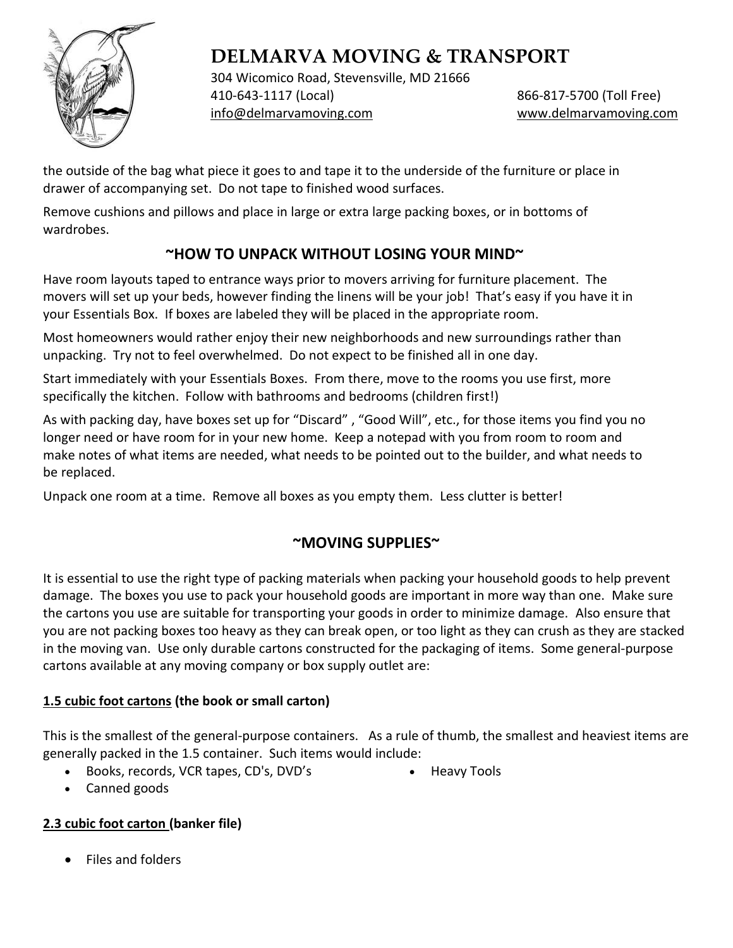

304 Wicomico Road, Stevensville, MD 21666 410-643-1117 (Local) 866-817-5700 (Toll Free) [info@delmarvamoving.com](mailto:info@delmarvamoving.com) [www.delmarvamoving.com](http://www.delmarvamoving.com/)

the outside of the bag what piece it goes to and tape it to the underside of the furniture or place in drawer of accompanying set. Do not tape to finished wood surfaces.

Remove cushions and pillows and place in large or extra large packing boxes, or in bottoms of wardrobes.

# **~HOW TO UNPACK WITHOUT LOSING YOUR MIND~**

Have room layouts taped to entrance ways prior to movers arriving for furniture placement. The movers will set up your beds, however finding the linens will be your job! That's easy if you have it in your Essentials Box. If boxes are labeled they will be placed in the appropriate room.

Most homeowners would rather enjoy their new neighborhoods and new surroundings rather than unpacking. Try not to feel overwhelmed. Do not expect to be finished all in one day.

Start immediately with your Essentials Boxes. From there, move to the rooms you use first, more specifically the kitchen. Follow with bathrooms and bedrooms (children first!)

As with packing day, have boxes set up for "Discard" , "Good Will", etc., for those items you find you no longer need or have room for in your new home. Keep a notepad with you from room to room and make notes of what items are needed, what needs to be pointed out to the builder, and what needs to be replaced.

Unpack one room at a time. Remove all boxes as you empty them. Less clutter is better!

# **~MOVING SUPPLIES~**

It is essential to use the right type of packing materials when packing your household goods to help prevent damage. The boxes you use to pack your household goods are important in more way than one. Make sure the cartons you use are suitable for transporting your goods in order to minimize damage. Also ensure that you are not packing boxes too heavy as they can break open, or too light as they can crush as they are stacked in the moving van. Use only durable cartons constructed for the packaging of items. Some general-purpose cartons available at any moving company or box supply outlet are:

# **1.5 cubic foot cartons (the book or small carton)**

This is the smallest of the general-purpose containers. As a rule of thumb, the smallest and heaviest items are generally packed in the 1.5 container. Such items would include:

- Books, records, VCR tapes, CD's, DVD's
- Heavy Tools

• Canned goods

## **2.3 cubic foot carton (banker file)**

• Files and folders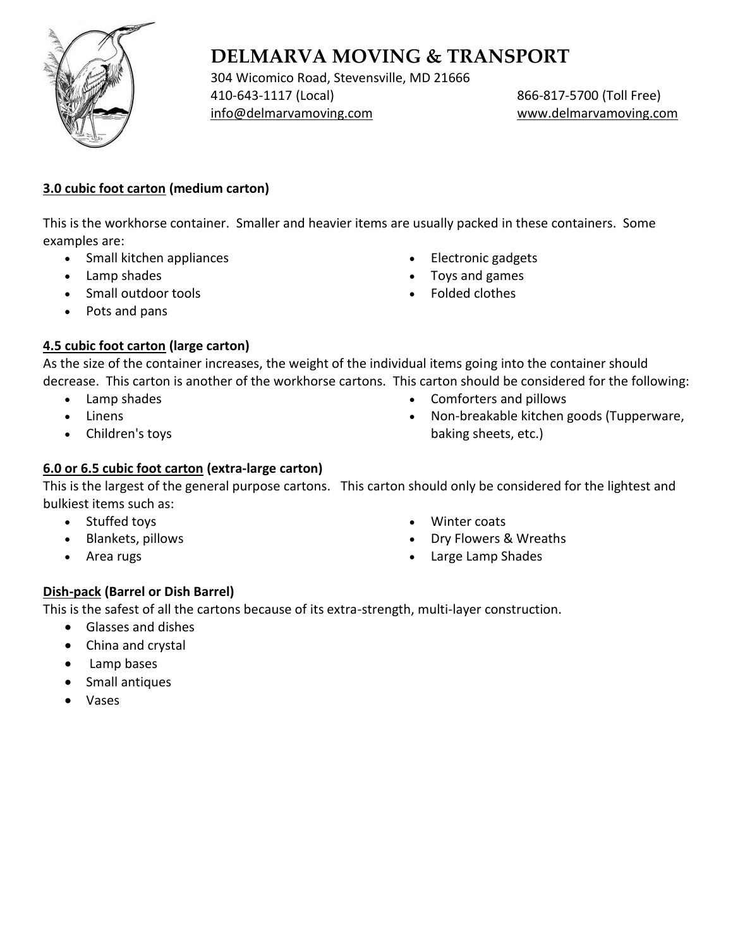

304 Wicomico Road, Stevensville, MD 21666 410-643-1117 (Local) 866-817-5700 (Toll Free) [info@delmarvamoving.com](mailto:info@delmarvamoving.com) [www.delmarvamoving.com](http://www.delmarvamoving.com/)

## **3.0 cubic foot carton (medium carton)**

This is the workhorse container. Smaller and heavier items are usually packed in these containers. Some examples are:

- Small kitchen appliances
- Lamp shades
- Small outdoor tools
- Pots and pans

#### • Toys and games • Folded clothes

• Electronic gadgets

## **4.5 cubic foot carton (large carton)**

As the size of the container increases, the weight of the individual items going into the container should decrease. This carton is another of the workhorse cartons. This carton should be considered for the following:

- Lamp shades
- Linens
- Children's toys
- Comforters and pillows
- Non-breakable kitchen goods (Tupperware, baking sheets, etc.)

## **6.0 or 6.5 cubic foot carton (extra-large carton)**

This is the largest of the general purpose cartons. This carton should only be considered for the lightest and bulkiest items such as:

- Stuffed toys
- Blankets, pillows
- Area rugs
- Winter coats
- Dry Flowers & Wreaths
- Large Lamp Shades

## **Dish-pack (Barrel or Dish Barrel)**

This is the safest of all the cartons because of its extra-strength, multi-layer construction.

- Glasses and dishes
- China and crystal
- Lamp bases
- Small antiques
- Vases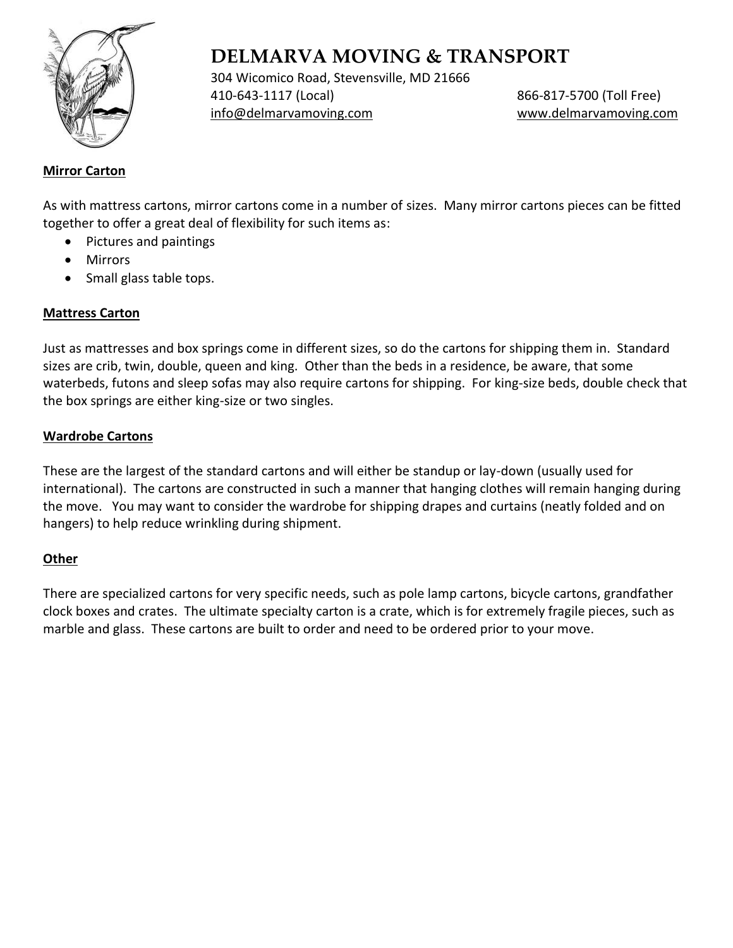

304 Wicomico Road, Stevensville, MD 21666 410-643-1117 (Local) 866-817-5700 (Toll Free) [info@delmarvamoving.com](mailto:info@delmarvamoving.com) [www.delmarvamoving.com](http://www.delmarvamoving.com/)

### **Mirror Carton**

As with mattress cartons, mirror cartons come in a number of sizes. Many mirror cartons pieces can be fitted together to offer a great deal of flexibility for such items as:

- Pictures and paintings
- Mirrors
- Small glass table tops.

### **Mattress Carton**

Just as mattresses and box springs come in different sizes, so do the cartons for shipping them in. Standard sizes are crib, twin, double, queen and king. Other than the beds in a residence, be aware, that some waterbeds, futons and sleep sofas may also require cartons for shipping. For king-size beds, double check that the box springs are either king-size or two singles.

#### **Wardrobe Cartons**

These are the largest of the standard cartons and will either be standup or lay-down (usually used for international). The cartons are constructed in such a manner that hanging clothes will remain hanging during the move. You may want to consider the wardrobe for shipping drapes and curtains (neatly folded and on hangers) to help reduce wrinkling during shipment.

### **Other**

There are specialized cartons for very specific needs, such as pole lamp cartons, bicycle cartons, grandfather clock boxes and crates. The ultimate specialty carton is a crate, which is for extremely fragile pieces, such as marble and glass. These cartons are built to order and need to be ordered prior to your move.